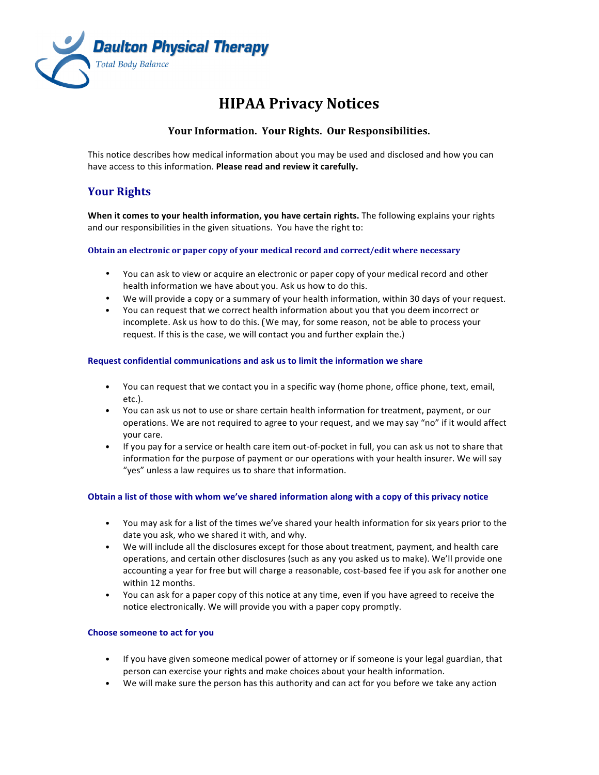

# **HIPAA Privacy Notices**

### **Your Information. Your Rights. Our Responsibilities.**

This notice describes how medical information about you may be used and disclosed and how you can have access to this information. Please read and review it carefully.

# **Your Rights**

When it comes to your health information, you have certain rights. The following explains your rights and our responsibilities in the given situations. You have the right to:

#### **Obtain an electronic or paper copy of your medical record and correct/edit where necessary**

- You can ask to view or acquire an electronic or paper copy of your medical record and other health information we have about you. Ask us how to do this.
- We will provide a copy or a summary of your health information, within 30 days of your request.
- You can request that we correct health information about you that you deem incorrect or incomplete. Ask us how to do this. (We may, for some reason, not be able to process your request. If this is the case, we will contact you and further explain the.)

#### **Request confidential communications and ask us to limit the information we share**

- You can request that we contact you in a specific way (home phone, office phone, text, email, etc.).
- You can ask us not to use or share certain health information for treatment, payment, or our operations. We are not required to agree to your request, and we may say "no" if it would affect vour care.
- If you pay for a service or health care item out-of-pocket in full, you can ask us not to share that information for the purpose of payment or our operations with your health insurer. We will say "yes" unless a law requires us to share that information.

#### **Obtain a list of those with whom we've shared information along with a copy of this privacy notice**

- You may ask for a list of the times we've shared your health information for six years prior to the date you ask, who we shared it with, and why.
- We will include all the disclosures except for those about treatment, payment, and health care operations, and certain other disclosures (such as any you asked us to make). We'll provide one accounting a year for free but will charge a reasonable, cost-based fee if you ask for another one within 12 months.
- You can ask for a paper copy of this notice at any time, even if you have agreed to receive the notice electronically. We will provide you with a paper copy promptly.

#### **Choose someone to act for you**

- If you have given someone medical power of attorney or if someone is your legal guardian, that person can exercise your rights and make choices about your health information.
- We will make sure the person has this authority and can act for you before we take any action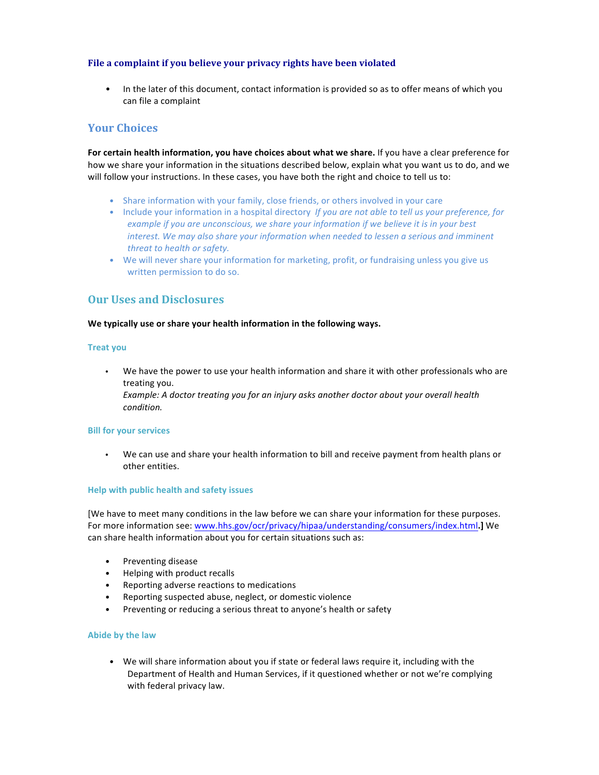#### File a complaint if you believe your privacy rights have been violated

• In the later of this document, contact information is provided so as to offer means of which you can file a complaint

### **Your Choices**

For certain health information, you have choices about what we share. If you have a clear preference for how we share your information in the situations described below, explain what you want us to do, and we will follow your instructions. In these cases, you have both the right and choice to tell us to:

- Share information with your family, close friends, or others involved in your care
- Include your information in a hospital directory *If you are not able to tell us your preference, for example if you are unconscious, we share your information if we believe it is in your best interest.* We may also share your information when needed to lessen a serious and imminent *threat to health or safety.*
- We will never share your information for marketing, profit, or fundraising unless you give us written permission to do so.

# **Our Uses and Disclosures**

#### We typically use or share your health information in the following ways.

#### **Treat you**

• We have the power to use your health information and share it with other professionals who are treating you.

*Example: A doctor treating you for an injury asks another doctor about your overall health condition.*

#### **Bill for your services**

We can use and share your health information to bill and receive payment from health plans or other entities.

#### **Help with public health and safety issues**

[We have to meet many conditions in the law before we can share your information for these purposes. For more information see: www.hhs.gov/ocr/privacy/hipaa/understanding/consumers/index.html ] We can share health information about you for certain situations such as:

- Preventing disease
- Helping with product recalls
- Reporting adverse reactions to medications
- Reporting suspected abuse, neglect, or domestic violence
- Preventing or reducing a serious threat to anyone's health or safety

#### **Abide by the law**

• We will share information about you if state or federal laws require it, including with the Department of Health and Human Services, if it questioned whether or not we're complying with federal privacy law.